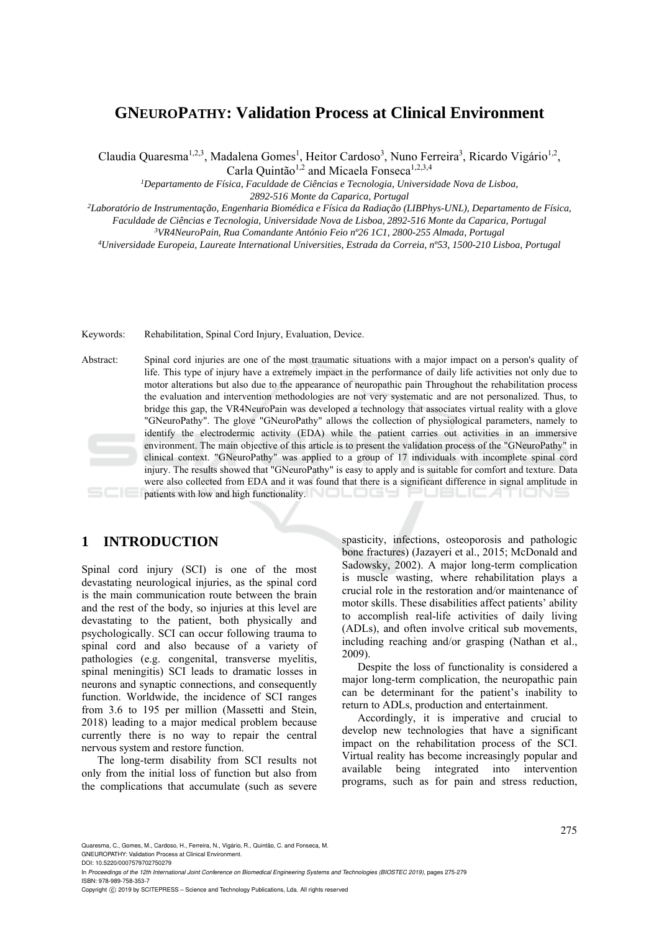# **GNEUROPATHY: Validation Process at Clinical Environment**

Claudia Quaresma<sup>1,2,3</sup>, Madalena Gomes<sup>1</sup>, Heitor Cardoso<sup>3</sup>, Nuno Ferreira<sup>3</sup>, Ricardo Vigário<sup>1,2</sup>,

Carla Quintão<sup>1,2</sup> and Micaela Fonseca<sup>1,2,3,4</sup>

<sup>1</sup>Departamento de Física, Faculdade de Ciências e Tecnologia, Universidade Nova de Lisboa,

*2892-516 Monte da Caparica, Portugal 2Laboratório de Instrumentação, Engenharia Biomédica e Física da Radiação (LIBPhys-UNL), Departamento de Física,* 

Faculdade de Ciências e Tecnologia, Universidade Nova de Lisboa, 2892-516 Monte da Caparica, Portugal<br><sup>3</sup>VR4NeuroPain, Rua Comandante António Feio nº26 1C1, 2800-255 Almada, Portugal<br><sup>4</sup>Universidade Europeia, Laureate Inte

Keywords: Rehabilitation, Spinal Cord Injury, Evaluation, Device.

Abstract: Spinal cord injuries are one of the most traumatic situations with a major impact on a person's quality of life. This type of injury have a extremely impact in the performance of daily life activities not only due to motor alterations but also due to the appearance of neuropathic pain Throughout the rehabilitation process the evaluation and intervention methodologies are not very systematic and are not personalized. Thus, to bridge this gap, the VR4NeuroPain was developed a technology that associates virtual reality with a glove "GNeuroPathy". The glove "GNeuroPathy" allows the collection of physiological parameters, namely to identify the electrodermic activity (EDA) while the patient carries out activities in an immersive environment. The main objective of this article is to present the validation process of the "GNeuroPathy" in clinical context. "GNeuroPathy" was applied to a group of 17 individuals with incomplete spinal cord injury. The results showed that "GNeuroPathy" is easy to apply and is suitable for comfort and texture. Data were also collected from EDA and it was found that there is a significant difference in signal amplitude in patients with low and high functionality.

## **1 INTRODUCTION**

Spinal cord injury (SCI) is one of the most devastating neurological injuries, as the spinal cord is the main communication route between the brain and the rest of the body, so injuries at this level are devastating to the patient, both physically and psychologically. SCI can occur following trauma to spinal cord and also because of a variety of pathologies (e.g. congenital, transverse myelitis, spinal meningitis) SCI leads to dramatic losses in neurons and synaptic connections, and consequently function. Worldwide, the incidence of SCI ranges from 3.6 to 195 per million (Massetti and Stein, 2018) leading to a major medical problem because currently there is no way to repair the central nervous system and restore function.

The long-term disability from SCI results not only from the initial loss of function but also from the complications that accumulate (such as severe

spasticity, infections, osteoporosis and pathologic bone fractures) (Jazayeri et al., 2015; McDonald and Sadowsky, 2002). A major long-term complication is muscle wasting, where rehabilitation plays a crucial role in the restoration and/or maintenance of motor skills. These disabilities affect patients' ability to accomplish real-life activities of daily living (ADLs), and often involve critical sub movements, including reaching and/or grasping (Nathan et al., 2009).

Despite the loss of functionality is considered a major long-term complication, the neuropathic pain can be determinant for the patient's inability to return to ADLs, production and entertainment.

Accordingly, it is imperative and crucial to develop new technologies that have a significant impact on the rehabilitation process of the SCI. Virtual reality has become increasingly popular and available being integrated into intervention programs, such as for pain and stress reduction,

Quaresma, C., Gomes, M., Cardoso, H., Ferreira, N., Vigário, R., Quintão, C. and Fonseca, M. GNEUROPATHY: Validation Process at Clinical Environment.

DOI: 10.5220/0007579702750279

In *Proceedings of the 12th International Joint Conference on Biomedical Engineering Systems and Technologies (BIOSTEC 2019)*, pages 275-279 ISBN: 978-989-758-353-7

Copyright © 2019 by SCITEPRESS - Science and Technology Publications, Lda. All rights reserved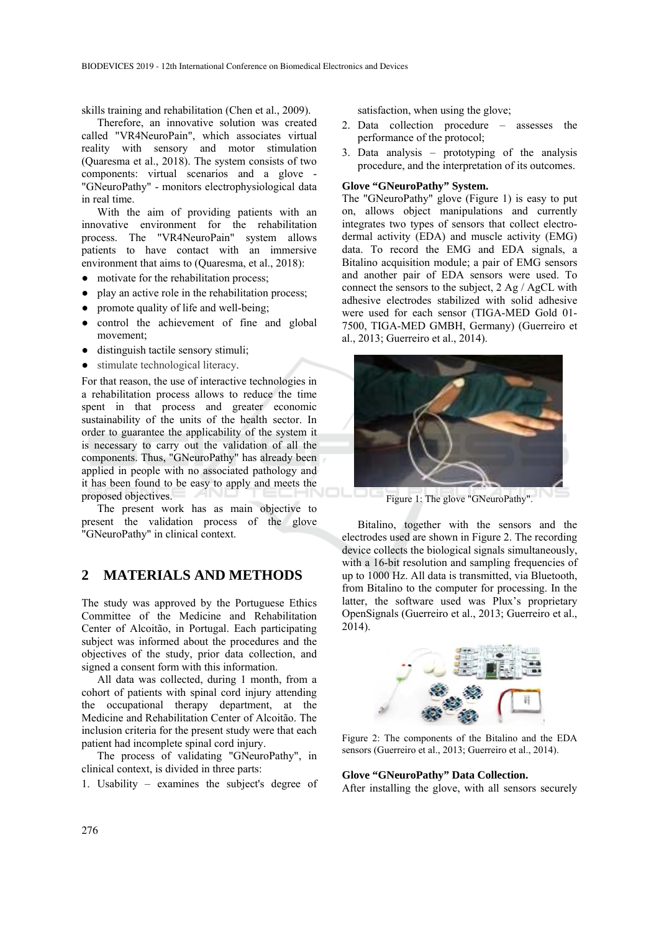skills training and rehabilitation (Chen et al., 2009).

Therefore, an innovative solution was created called "VR4NeuroPain", which associates virtual reality with sensory and motor stimulation (Quaresma et al., 2018). The system consists of two components: virtual scenarios and a glove - "GNeuroPathy" - monitors electrophysiological data in real time.

With the aim of providing patients with an innovative environment for the rehabilitation process. The "VR4NeuroPain" system allows patients to have contact with an immersive environment that aims to (Quaresma, et al., 2018):

- motivate for the rehabilitation process;
- play an active role in the rehabilitation process;
- promote quality of life and well-being;
- control the achievement of fine and global movement;
- distinguish tactile sensory stimuli;
- stimulate technological literacy.

For that reason, the use of interactive technologies in a rehabilitation process allows to reduce the time spent in that process and greater economic sustainability of the units of the health sector. In order to guarantee the applicability of the system it is necessary to carry out the validation of all the components. Thus, "GNeuroPathy" has already been applied in people with no associated pathology and it has been found to be easy to apply and meets the proposed objectives.

The present work has as main objective to present the validation process of the glove "GNeuroPathy" in clinical context.

## **2 MATERIALS AND METHODS**

The study was approved by the Portuguese Ethics Committee of the Medicine and Rehabilitation Center of Alcoitão, in Portugal. Each participating subject was informed about the procedures and the objectives of the study, prior data collection, and signed a consent form with this information.

All data was collected, during 1 month, from a cohort of patients with spinal cord injury attending the occupational therapy department, at the Medicine and Rehabilitation Center of Alcoitão. The inclusion criteria for the present study were that each patient had incomplete spinal cord injury.

The process of validating "GNeuroPathy", in clinical context, is divided in three parts:

1. Usability – examines the subject's degree of

satisfaction, when using the glove;

- 2. Data collection procedure assesses the performance of the protocol;
- 3. Data analysis prototyping of the analysis procedure, and the interpretation of its outcomes.

### **Glove "GNeuroPathy" System.**

The "GNeuroPathy" glove (Figure 1) is easy to put on, allows object manipulations and currently integrates two types of sensors that collect electrodermal activity (EDA) and muscle activity (EMG) data. To record the EMG and EDA signals, a Bitalino acquisition module; a pair of EMG sensors and another pair of EDA sensors were used. To connect the sensors to the subject, 2 Ag / AgCL with adhesive electrodes stabilized with solid adhesive were used for each sensor (TIGA-MED Gold 01- 7500, TIGA-MED GMBH, Germany) (Guerreiro et al., 2013; Guerreiro et al., 2014).



Figure 1: The glove "GNeuroPathy".

Bitalino, together with the sensors and the electrodes used are shown in Figure 2. The recording device collects the biological signals simultaneously, with a 16-bit resolution and sampling frequencies of up to 1000 Hz. All data is transmitted, via Bluetooth, from Bitalino to the computer for processing. In the latter, the software used was Plux's proprietary OpenSignals (Guerreiro et al., 2013; Guerreiro et al., 2014).



Figure 2: The components of the Bitalino and the EDA sensors (Guerreiro et al., 2013; Guerreiro et al., 2014).

#### **Glove "GNeuroPathy" Data Collection.**

After installing the glove, with all sensors securely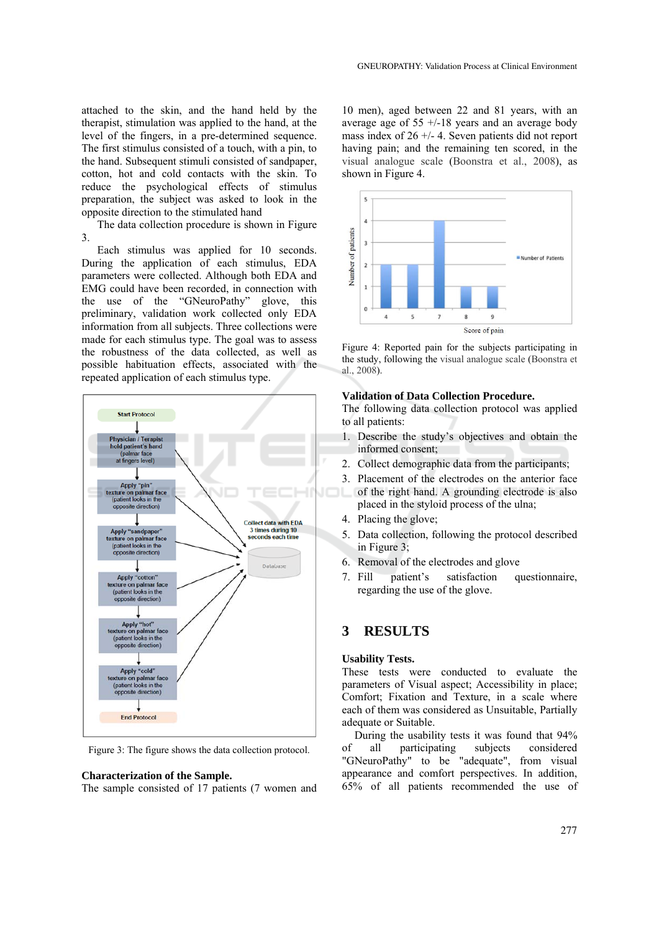attached to the skin, and the hand held by the therapist, stimulation was applied to the hand, at the level of the fingers, in a pre-determined sequence. The first stimulus consisted of a touch, with a pin, to the hand. Subsequent stimuli consisted of sandpaper, cotton, hot and cold contacts with the skin. To reduce the psychological effects of stimulus preparation, the subject was asked to look in the opposite direction to the stimulated hand

The data collection procedure is shown in Figure 3.

Each stimulus was applied for 10 seconds. During the application of each stimulus, EDA parameters were collected. Although both EDA and EMG could have been recorded, in connection with the use of the "GNeuroPathy" glove, this preliminary, validation work collected only EDA information from all subjects. Three collections were made for each stimulus type. The goal was to assess the robustness of the data collected, as well as possible habituation effects, associated with the repeated application of each stimulus type.



Figure 3: The figure shows the data collection protocol.

#### **Characterization of the Sample.**

The sample consisted of 17 patients (7 women and

10 men), aged between 22 and 81 years, with an average age of  $55 +18$  years and an average body mass index of  $26 + (-4)$ . Seven patients did not report having pain; and the remaining ten scored, in the visual analogue scale (Boonstra et al., 2008), as shown in Figure 4.



Figure 4: Reported pain for the subjects participating in the study, following the visual analogue scale (Boonstra et al., 2008).

### **Validation of Data Collection Procedure.**

The following data collection protocol was applied to all patients:

- 1. Describe the study's objectives and obtain the informed consent;
- 2. Collect demographic data from the participants;
- 3. Placement of the electrodes on the anterior face of the right hand. A grounding electrode is also placed in the styloid process of the ulna;
- 4. Placing the glove;
- 5. Data collection, following the protocol described in Figure 3;
- 6. Removal of the electrodes and glove
- 7. Fill patient's satisfaction questionnaire, regarding the use of the glove.

## **3 RESULTS**

### **Usability Tests.**

These tests were conducted to evaluate the parameters of Visual aspect; Accessibility in place; Comfort; Fixation and Texture, in a scale where each of them was considered as Unsuitable, Partially adequate or Suitable.

During the usability tests it was found that 94% of all participating subjects considered "GNeuroPathy" to be "adequate", from visual appearance and comfort perspectives. In addition, 65% of all patients recommended the use of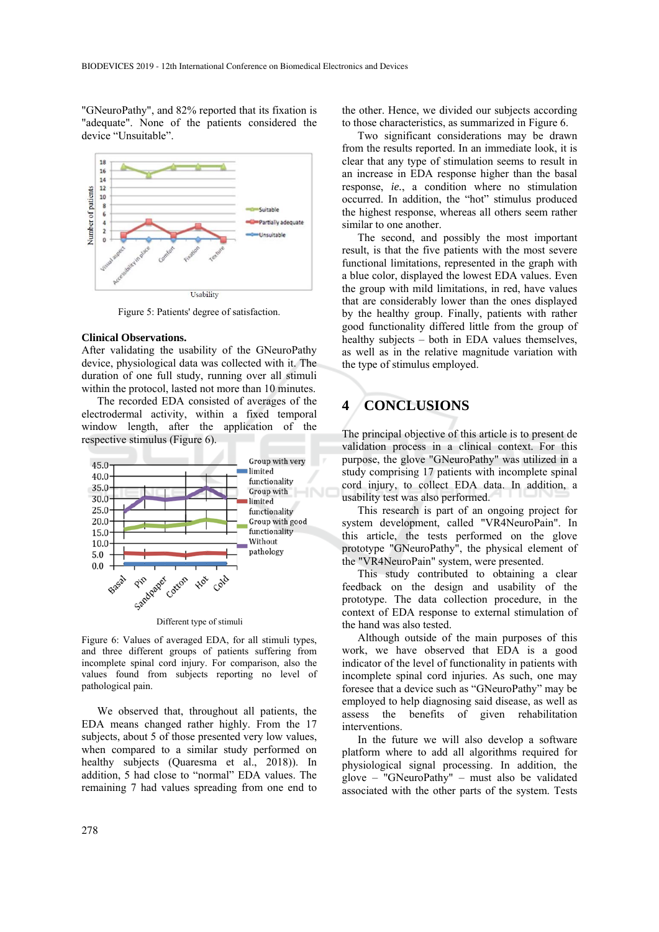"GNeuroPathy", and 82% reported that its fixation is "adequate". None of the patients considered the device "Unsuitable".



Figure 5: Patients' degree of satisfaction.

### **Clinical Observations.**

After validating the usability of the GNeuroPathy device, physiological data was collected with it. The duration of one full study, running over all stimuli within the protocol, lasted not more than 10 minutes.

The recorded EDA consisted of averages of the electrodermal activity, within a fixed temporal window length, after the application of the respective stimulus (Figure 6).



Figure 6: Values of averaged EDA, for all stimuli types, and three different groups of patients suffering from incomplete spinal cord injury. For comparison, also the values found from subjects reporting no level of pathological pain.

We observed that, throughout all patients, the EDA means changed rather highly. From the 17 subjects, about 5 of those presented very low values, when compared to a similar study performed on healthy subjects (Quaresma et al., 2018)). In addition, 5 had close to "normal" EDA values. The remaining 7 had values spreading from one end to

the other. Hence, we divided our subjects according to those characteristics, as summarized in Figure 6.

Two significant considerations may be drawn from the results reported. In an immediate look, it is clear that any type of stimulation seems to result in an increase in EDA response higher than the basal response, *ie.*, a condition where no stimulation occurred. In addition, the "hot" stimulus produced the highest response, whereas all others seem rather similar to one another.

The second, and possibly the most important result, is that the five patients with the most severe functional limitations, represented in the graph with a blue color, displayed the lowest EDA values. Even the group with mild limitations, in red, have values that are considerably lower than the ones displayed by the healthy group. Finally, patients with rather good functionality differed little from the group of healthy subjects – both in EDA values themselves, as well as in the relative magnitude variation with the type of stimulus employed.

## **4 CONCLUSIONS**

The principal objective of this article is to present de validation process in a clinical context. For this purpose, the glove "GNeuroPathy" was utilized in a study comprising 17 patients with incomplete spinal cord injury, to collect EDA data. In addition, a usability test was also performed.

This research is part of an ongoing project for system development, called "VR4NeuroPain". In this article, the tests performed on the glove prototype "GNeuroPathy", the physical element of the "VR4NeuroPain" system, were presented.

This study contributed to obtaining a clear feedback on the design and usability of the prototype. The data collection procedure, in the context of EDA response to external stimulation of the hand was also tested.

Although outside of the main purposes of this work, we have observed that EDA is a good indicator of the level of functionality in patients with incomplete spinal cord injuries. As such, one may foresee that a device such as "GNeuroPathy" may be employed to help diagnosing said disease, as well as assess the benefits of given rehabilitation interventions.

In the future we will also develop a software platform where to add all algorithms required for physiological signal processing. In addition, the glove – "GNeuroPathy" – must also be validated associated with the other parts of the system. Tests